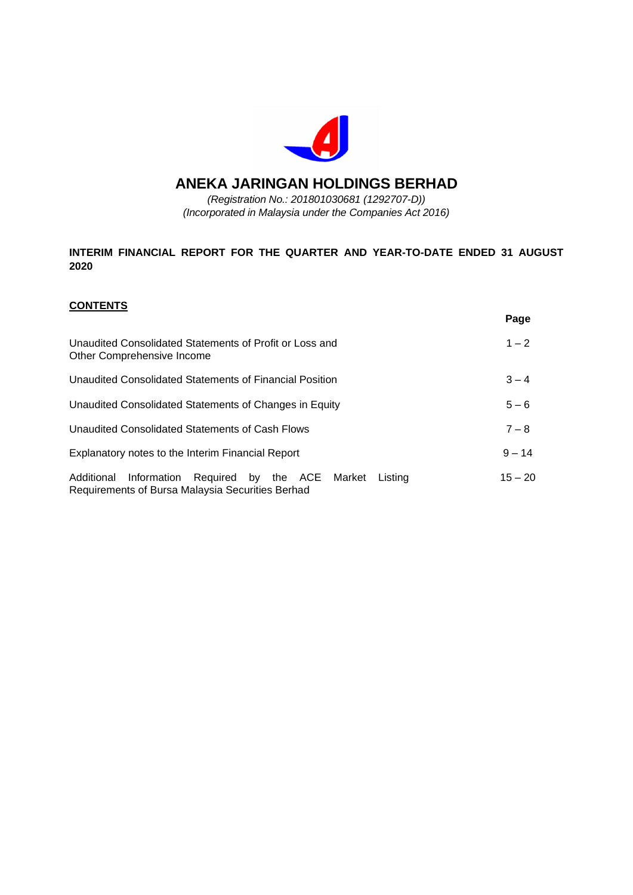

# **ANEKA JARINGAN HOLDINGS BERHAD**

*(Registration No.: 201801030681 (1292707-D)) (Incorporated in Malaysia under the Companies Act 2016)*

# **INTERIM FINANCIAL REPORT FOR THE QUARTER AND YEAR-TO-DATE ENDED 31 AUGUST 2020**

# **CONTENTS**

|                                                                                                                        | Page      |
|------------------------------------------------------------------------------------------------------------------------|-----------|
| Unaudited Consolidated Statements of Profit or Loss and<br>Other Comprehensive Income                                  | $1 - 2$   |
| Unaudited Consolidated Statements of Financial Position                                                                | $3 - 4$   |
| Unaudited Consolidated Statements of Changes in Equity                                                                 | $5 - 6$   |
| Unaudited Consolidated Statements of Cash Flows                                                                        | $7 - 8$   |
| Explanatory notes to the Interim Financial Report                                                                      | $9 - 14$  |
| Information Required by the ACE<br>Additional<br>Market<br>Listing<br>Requirements of Bursa Malaysia Securities Berhad | $15 - 20$ |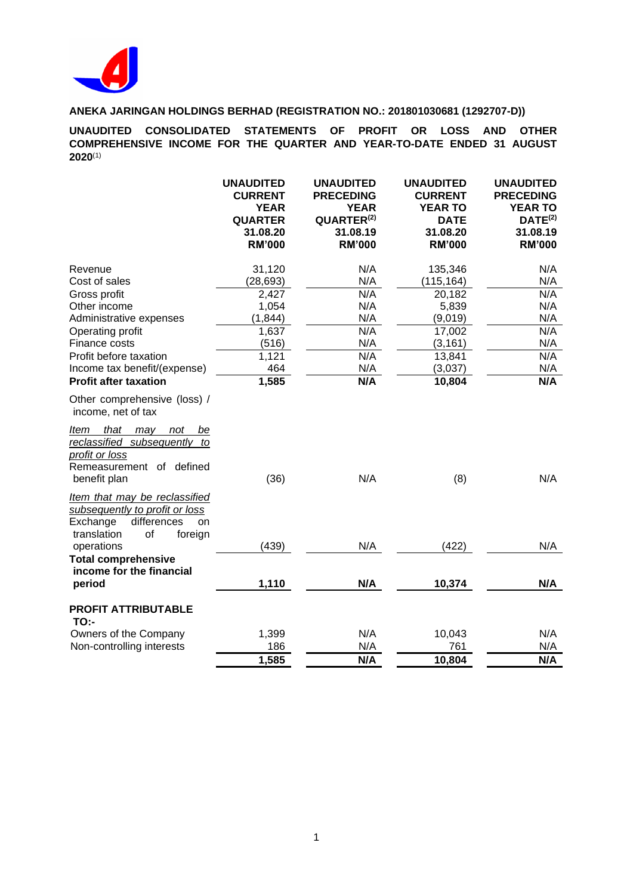

**UNAUDITED CONSOLIDATED STATEMENTS OF PROFIT OR LOSS AND OTHER COMPREHENSIVE INCOME FOR THE QUARTER AND YEAR-TO-DATE ENDED 31 AUGUST 2020**(1)

|                                                                                                                                                                                                                                                | <b>UNAUDITED</b><br><b>CURRENT</b><br><b>YEAR</b><br><b>QUARTER</b><br>31.08.20<br><b>RM'000</b> | <b>UNAUDITED</b><br><b>PRECEDING</b><br><b>YEAR</b><br>QUARTER <sup>(2)</sup><br>31.08.19<br><b>RM'000</b> | <b>UNAUDITED</b><br><b>CURRENT</b><br><b>YEAR TO</b><br><b>DATE</b><br>31.08.20<br><b>RM'000</b>         | <b>UNAUDITED</b><br><b>PRECEDING</b><br><b>YEAR TO</b><br>DATE <sup>(2)</sup><br>31.08.19<br><b>RM'000</b> |
|------------------------------------------------------------------------------------------------------------------------------------------------------------------------------------------------------------------------------------------------|--------------------------------------------------------------------------------------------------|------------------------------------------------------------------------------------------------------------|----------------------------------------------------------------------------------------------------------|------------------------------------------------------------------------------------------------------------|
| Revenue<br>Cost of sales<br>Gross profit<br>Other income<br>Administrative expenses<br>Operating profit<br>Finance costs<br>Profit before taxation<br>Income tax benefit/(expense)<br><b>Profit after taxation</b>                             | 31,120<br>(28, 693)<br>2,427<br>1,054<br>(1, 844)<br>1,637<br>(516)<br>1,121<br>464<br>1,585     | N/A<br>N/A<br>N/A<br>N/A<br>N/A<br>N/A<br>N/A<br>N/A<br>N/A<br>N/A                                         | 135,346<br>(115, 164)<br>20,182<br>5,839<br>(9,019)<br>17,002<br>(3, 161)<br>13,841<br>(3,037)<br>10,804 | N/A<br>N/A<br>N/A<br>N/A<br>N/A<br>N/A<br>N/A<br>N/A<br>N/A<br>N/A                                         |
| Other comprehensive (loss) /<br>income, net of tax<br>Item that may not<br>be<br>reclassified subsequently to<br>profit or loss<br>Remeasurement of defined<br>benefit plan<br>Item that may be reclassified<br>subsequently to profit or loss | (36)                                                                                             | N/A                                                                                                        | (8)                                                                                                      | N/A                                                                                                        |
| differences<br>Exchange<br>on<br>translation<br>of<br>foreign<br>operations<br><b>Total comprehensive</b><br>income for the financial<br>period                                                                                                | (439)<br>1,110                                                                                   | N/A<br>N/A                                                                                                 | (422)<br>10,374                                                                                          | N/A<br>N/A                                                                                                 |
| <b>PROFIT ATTRIBUTABLE</b><br><b>TO:-</b><br>Owners of the Company<br>Non-controlling interests                                                                                                                                                | 1,399<br>186<br>1,585                                                                            | N/A<br>N/A<br>N/A                                                                                          | 10,043<br>761<br>10,804                                                                                  | N/A<br>N/A<br>N/A                                                                                          |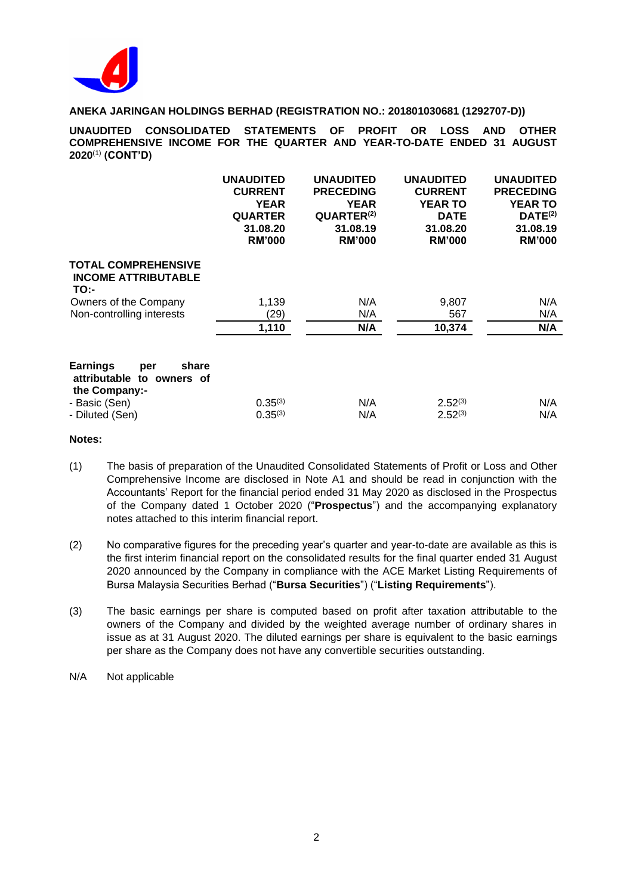

**UNAUDITED CONSOLIDATED STATEMENTS OF PROFIT OR LOSS AND OTHER COMPREHENSIVE INCOME FOR THE QUARTER AND YEAR-TO-DATE ENDED 31 AUGUST 2020**(1) **(CONT'D)**

|                                                                               | <b>UNAUDITED</b><br><b>CURRENT</b><br><b>YEAR</b><br><b>QUARTER</b><br>31.08.20<br><b>RM'000</b> | <b>UNAUDITED</b><br><b>PRECEDING</b><br><b>YEAR</b><br>QUARTER <sup>(2)</sup><br>31.08.19<br><b>RM'000</b> | <b>UNAUDITED</b><br><b>CURRENT</b><br><b>YEAR TO</b><br><b>DATE</b><br>31.08.20<br><b>RM'000</b> | <b>UNAUDITED</b><br><b>PRECEDING</b><br><b>YEAR TO</b><br>DATE <sup>(2)</sup><br>31.08.19<br><b>RM'000</b> |
|-------------------------------------------------------------------------------|--------------------------------------------------------------------------------------------------|------------------------------------------------------------------------------------------------------------|--------------------------------------------------------------------------------------------------|------------------------------------------------------------------------------------------------------------|
| <b>TOTAL COMPREHENSIVE</b><br><b>INCOME ATTRIBUTABLE</b><br>TO:-              |                                                                                                  |                                                                                                            |                                                                                                  |                                                                                                            |
| Owners of the Company                                                         | 1,139                                                                                            | N/A                                                                                                        | 9,807                                                                                            | N/A                                                                                                        |
| Non-controlling interests                                                     | (29)                                                                                             | N/A                                                                                                        | 567                                                                                              | N/A                                                                                                        |
|                                                                               | 1,110                                                                                            | N/A                                                                                                        | 10,374                                                                                           | N/A                                                                                                        |
| <b>Earnings</b><br>share<br>per<br>attributable to owners of<br>the Company:- |                                                                                                  |                                                                                                            |                                                                                                  |                                                                                                            |
| - Basic (Sen)                                                                 | $0.35^{(3)}$                                                                                     | N/A                                                                                                        | $2.52^{(3)}$                                                                                     | N/A                                                                                                        |
| - Diluted (Sen)                                                               | $0.35^{(3)}$                                                                                     | N/A                                                                                                        | $2.52^{(3)}$                                                                                     | N/A                                                                                                        |

#### **Notes:**

- (1) The basis of preparation of the Unaudited Consolidated Statements of Profit or Loss and Other Comprehensive Income are disclosed in Note A1 and should be read in conjunction with the Accountants' Report for the financial period ended 31 May 2020 as disclosed in the Prospectus of the Company dated 1 October 2020 ("**Prospectus**") and the accompanying explanatory notes attached to this interim financial report.
- (2) No comparative figures for the preceding year's quarter and year-to-date are available as this is the first interim financial report on the consolidated results for the final quarter ended 31 August 2020 announced by the Company in compliance with the ACE Market Listing Requirements of Bursa Malaysia Securities Berhad ("**Bursa Securities**") ("**Listing Requirements**").
- (3) The basic earnings per share is computed based on profit after taxation attributable to the owners of the Company and divided by the weighted average number of ordinary shares in issue as at 31 August 2020. The diluted earnings per share is equivalent to the basic earnings per share as the Company does not have any convertible securities outstanding.
- N/A Not applicable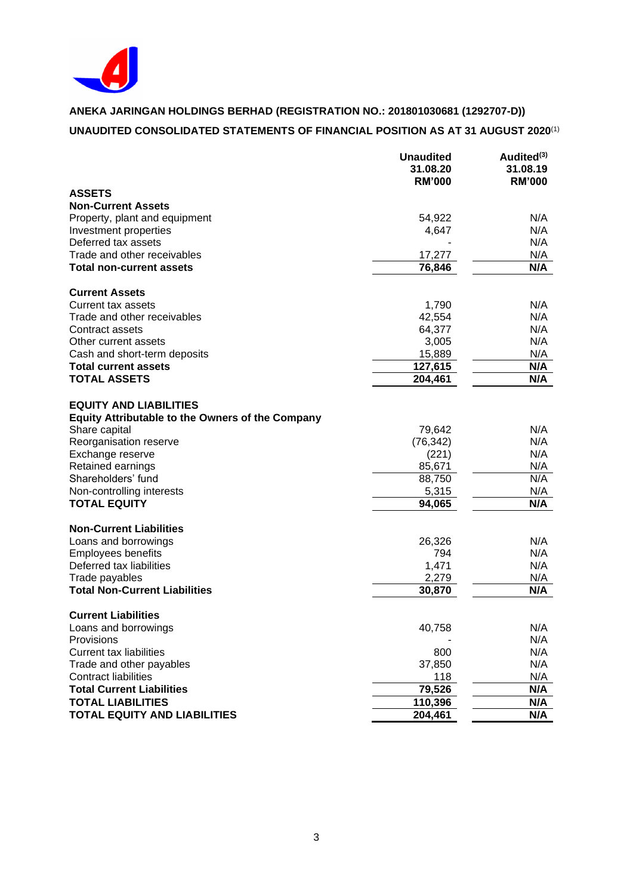

# **ANEKA JARINGAN HOLDINGS BERHAD (REGISTRATION NO.: 201801030681 (1292707-D)) UNAUDITED CONSOLIDATED STATEMENTS OF FINANCIAL POSITION AS AT 31 AUGUST 2020**(1)

|                                                         | <b>Unaudited</b> | Audited <sup>(3)</sup> |
|---------------------------------------------------------|------------------|------------------------|
|                                                         | 31.08.20         | 31.08.19               |
|                                                         | <b>RM'000</b>    | <b>RM'000</b>          |
| <b>ASSETS</b>                                           |                  |                        |
| <b>Non-Current Assets</b>                               |                  |                        |
| Property, plant and equipment                           | 54,922           | N/A                    |
| Investment properties                                   | 4,647            | N/A                    |
| Deferred tax assets                                     |                  | N/A                    |
| Trade and other receivables                             | 17,277           | N/A                    |
| <b>Total non-current assets</b>                         | 76,846           | N/A                    |
| <b>Current Assets</b>                                   |                  |                        |
| Current tax assets                                      | 1,790            | N/A                    |
| Trade and other receivables                             | 42,554           | N/A                    |
| Contract assets                                         | 64,377           | N/A                    |
| Other current assets                                    | 3,005            | N/A                    |
| Cash and short-term deposits                            | 15,889           | N/A                    |
| <b>Total current assets</b>                             | 127,615          | N/A                    |
| <b>TOTAL ASSETS</b>                                     | 204,461          | N/A                    |
|                                                         |                  |                        |
| <b>EQUITY AND LIABILITIES</b>                           |                  |                        |
| <b>Equity Attributable to the Owners of the Company</b> |                  |                        |
| Share capital                                           | 79,642           | N/A                    |
| Reorganisation reserve                                  | (76, 342)        | N/A                    |
| Exchange reserve                                        | (221)            | N/A                    |
| Retained earnings                                       | 85,671           | N/A                    |
| Shareholders' fund                                      | 88,750           | N/A                    |
| Non-controlling interests                               | 5,315            | N/A                    |
| <b>TOTAL EQUITY</b>                                     | 94,065           | N/A                    |
| <b>Non-Current Liabilities</b>                          |                  |                        |
| Loans and borrowings                                    | 26,326           | N/A                    |
| <b>Employees benefits</b>                               | 794              | N/A                    |
| Deferred tax liabilities                                | 1,471            | N/A                    |
| Trade payables                                          | 2,279            | N/A                    |
| <b>Total Non-Current Liabilities</b>                    | 30,870           | N/A                    |
| <b>Current Liabilities</b>                              |                  |                        |
| Loans and borrowings                                    | 40,758           | N/A                    |
| Provisions                                              |                  | N/A                    |
| <b>Current tax liabilities</b>                          | 800              | N/A                    |
| Trade and other payables                                | 37,850           | N/A                    |
| <b>Contract liabilities</b>                             | 118              | N/A                    |
| <b>Total Current Liabilities</b>                        | 79,526           | N/A                    |
| <b>TOTAL LIABILITIES</b>                                | 110,396          | N/A                    |
| <b>TOTAL EQUITY AND LIABILITIES</b>                     | 204,461          | N/A                    |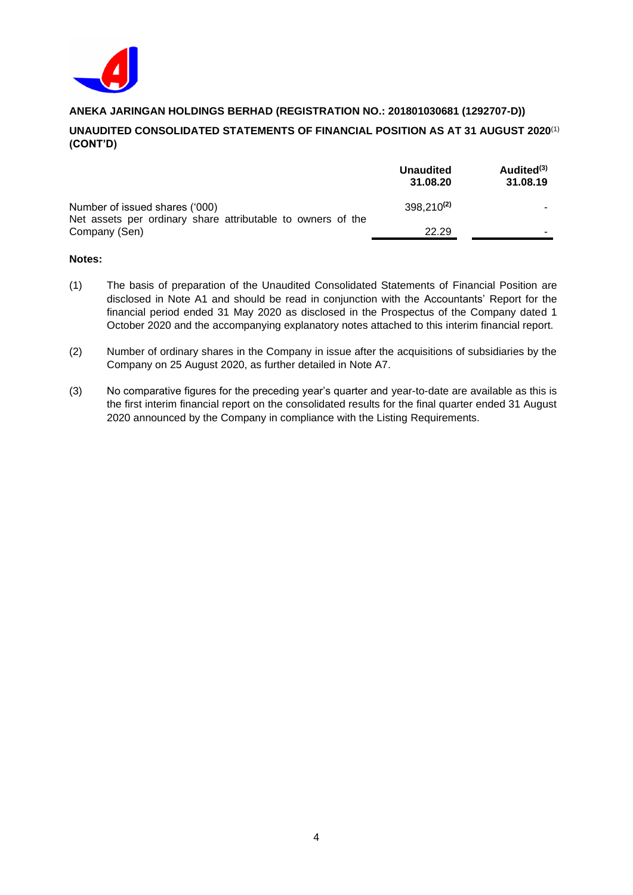

# **UNAUDITED CONSOLIDATED STATEMENTS OF FINANCIAL POSITION AS AT 31 AUGUST 2020**(1) **(CONT'D)**

|                                                                                               | <b>Unaudited</b><br>31.08.20 | Audited <sup>(3)</sup><br>31.08.19 |
|-----------------------------------------------------------------------------------------------|------------------------------|------------------------------------|
| Number of issued shares ('000)<br>Net assets per ordinary share attributable to owners of the | 398,210 <sup>(2)</sup>       | -                                  |
| Company (Sen)                                                                                 | 22.29                        | -                                  |

## **Notes:**

- (1) The basis of preparation of the Unaudited Consolidated Statements of Financial Position are disclosed in Note A1 and should be read in conjunction with the Accountants' Report for the financial period ended 31 May 2020 as disclosed in the Prospectus of the Company dated 1 October 2020 and the accompanying explanatory notes attached to this interim financial report.
- (2) Number of ordinary shares in the Company in issue after the acquisitions of subsidiaries by the Company on 25 August 2020, as further detailed in Note A7.
- (3) No comparative figures for the preceding year's quarter and year-to-date are available as this is the first interim financial report on the consolidated results for the final quarter ended 31 August 2020 announced by the Company in compliance with the Listing Requirements.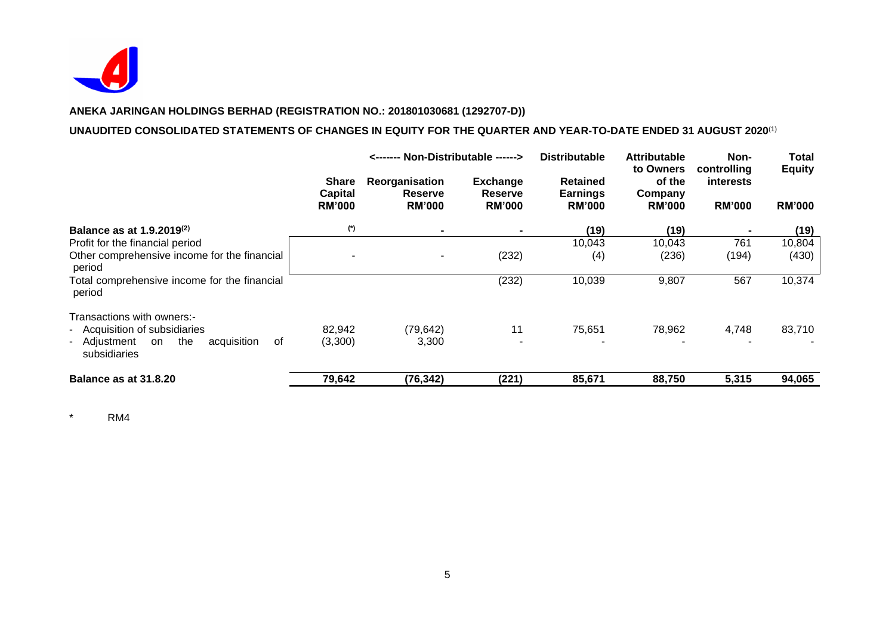

# **UNAUDITED CONSOLIDATED STATEMENTS OF CHANGES IN EQUITY FOR THE QUARTER AND YEAR-TO-DATE ENDED 31 AUGUST 2020**(1)

|                                                                                                                               | <------- Non-Distributable ------>              |                                                   |                                                    | <b>Distributable</b><br><b>Attributable</b><br>to Owners |                                    | Total<br>Non-<br>controlling<br><b>Equity</b> |                 |               |
|-------------------------------------------------------------------------------------------------------------------------------|-------------------------------------------------|---------------------------------------------------|----------------------------------------------------|----------------------------------------------------------|------------------------------------|-----------------------------------------------|-----------------|---------------|
|                                                                                                                               | <b>Share</b><br><b>Capital</b><br><b>RM'000</b> | Reorganisation<br><b>Reserve</b><br><b>RM'000</b> | <b>Exchange</b><br><b>Reserve</b><br><b>RM'000</b> | <b>Retained</b><br><b>Earnings</b><br><b>RM'000</b>      | of the<br>Company<br><b>RM'000</b> | <b>interests</b><br><b>RM'000</b>             |                 | <b>RM'000</b> |
| Balance as at 1.9.2019 <sup>(2)</sup>                                                                                         | (*)                                             | $\blacksquare$                                    |                                                    | (19)                                                     | (19)                               |                                               | (19)            |               |
| Profit for the financial period<br>Other comprehensive income for the financial<br>period                                     | ۰                                               |                                                   | (232)                                              | 10,043<br>(4)                                            | 10,043<br>(236)                    | 761<br>(194)                                  | 10,804<br>(430) |               |
| Total comprehensive income for the financial<br>period                                                                        |                                                 |                                                   | (232)                                              | 10,039                                                   | 9,807                              | 567                                           | 10,374          |               |
| Transactions with owners:-<br>- Acquisition of subsidiaries<br>acquisition<br>- Adjustment<br>the<br>on<br>of<br>subsidiaries | 82,942<br>(3,300)                               | (79, 642)<br>3,300                                | 11                                                 | 75,651                                                   | 78,962                             | 4,748                                         | 83,710          |               |
| Balance as at 31.8.20                                                                                                         | 79,642                                          | (76, 342)                                         | (221)                                              | 85,671                                                   | 88,750                             | 5,315                                         | 94,065          |               |

\* RM4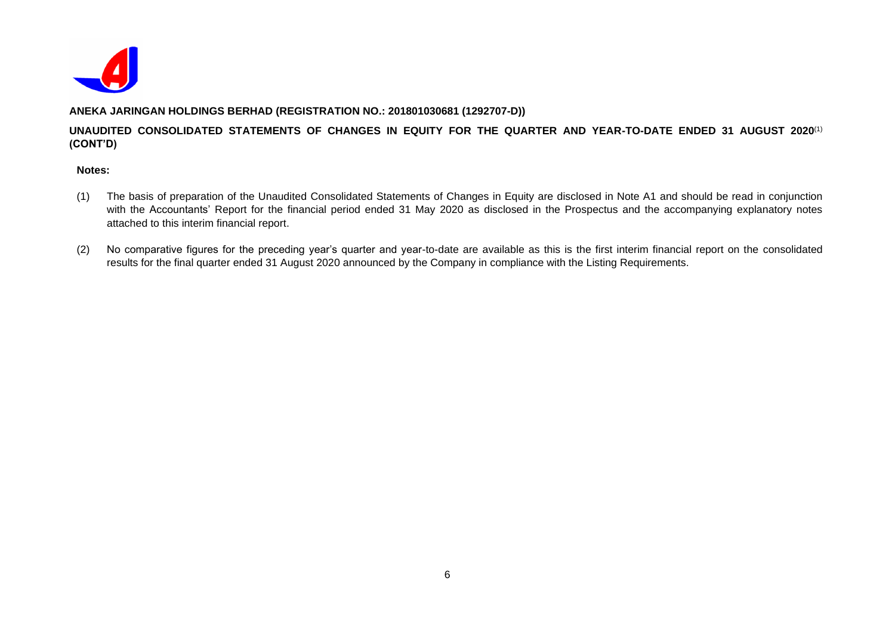

# **UNAUDITED CONSOLIDATED STATEMENTS OF CHANGES IN EQUITY FOR THE QUARTER AND YEAR-TO-DATE ENDED 31 AUGUST 2020**(1) **(CONT'D)**

#### **Notes:**

- (1) The basis of preparation of the Unaudited Consolidated Statements of Changes in Equity are disclosed in Note A1 and should be read in conjunction with the Accountants' Report for the financial period ended 31 May 2020 as disclosed in the Prospectus and the accompanying explanatory notes attached to this interim financial report.
- (2) No comparative figures for the preceding year's quarter and year-to-date are available as this is the first interim financial report on the consolidated results for the final quarter ended 31 August 2020 announced by the Company in compliance with the Listing Requirements.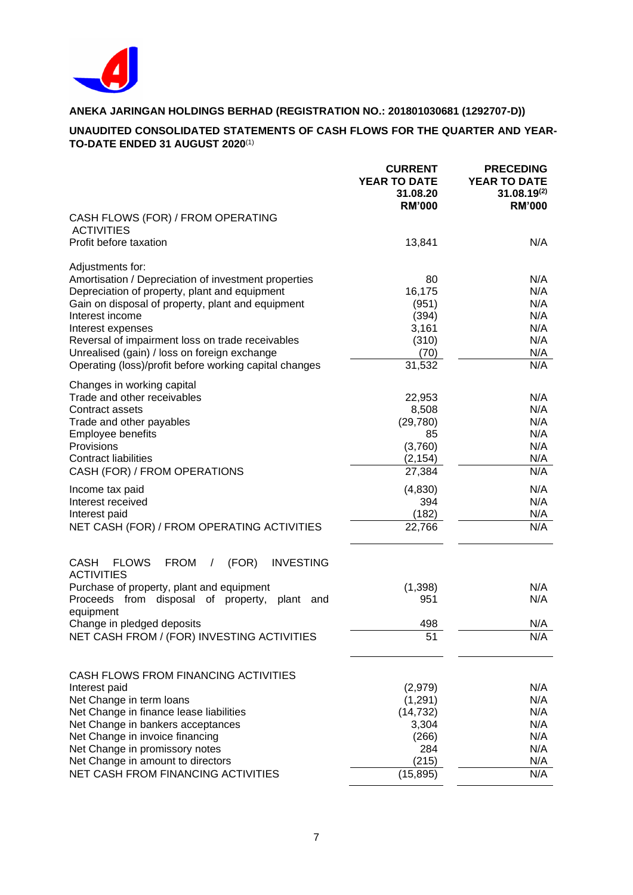

# **UNAUDITED CONSOLIDATED STATEMENTS OF CASH FLOWS FOR THE QUARTER AND YEAR-TO-DATE ENDED 31 AUGUST 2020**(1)

|                                                                                                          | <b>CURRENT</b><br><b>YEAR TO DATE</b><br>31.08.20<br><b>RM'000</b> | <b>PRECEDING</b><br>YEAR TO DATE<br>$31.08.19^{(2)}$<br><b>RM'000</b> |
|----------------------------------------------------------------------------------------------------------|--------------------------------------------------------------------|-----------------------------------------------------------------------|
| CASH FLOWS (FOR) / FROM OPERATING<br><b>ACTIVITIES</b>                                                   |                                                                    |                                                                       |
| Profit before taxation                                                                                   | 13,841                                                             | N/A                                                                   |
| Adjustments for:                                                                                         |                                                                    |                                                                       |
| Amortisation / Depreciation of investment properties                                                     | 80                                                                 | N/A                                                                   |
| Depreciation of property, plant and equipment<br>Gain on disposal of property, plant and equipment       | 16,175<br>(951)                                                    | N/A<br>N/A                                                            |
| Interest income                                                                                          | (394)                                                              | N/A                                                                   |
| Interest expenses                                                                                        | 3,161                                                              | N/A                                                                   |
| Reversal of impairment loss on trade receivables                                                         | (310)                                                              | N/A                                                                   |
| Unrealised (gain) / loss on foreign exchange                                                             | (70)                                                               | N/A                                                                   |
| Operating (loss)/profit before working capital changes                                                   | 31,532                                                             | N/A                                                                   |
| Changes in working capital                                                                               |                                                                    |                                                                       |
| Trade and other receivables                                                                              | 22,953                                                             | N/A                                                                   |
| Contract assets                                                                                          | 8,508                                                              | N/A                                                                   |
| Trade and other payables<br><b>Employee benefits</b>                                                     | (29, 780)<br>85                                                    | N/A<br>N/A                                                            |
| Provisions                                                                                               | (3,760)                                                            | N/A                                                                   |
| <b>Contract liabilities</b>                                                                              | (2, 154)                                                           | N/A                                                                   |
| CASH (FOR) / FROM OPERATIONS                                                                             | 27,384                                                             | N/A                                                                   |
| Income tax paid                                                                                          | (4, 830)                                                           | N/A                                                                   |
| Interest received                                                                                        | 394                                                                | N/A                                                                   |
| Interest paid                                                                                            | (182)                                                              | N/A                                                                   |
| NET CASH (FOR) / FROM OPERATING ACTIVITIES                                                               | 22,766                                                             | N/A                                                                   |
| <b>CASH</b><br><b>FLOWS</b><br><b>FROM</b><br>(FOR)<br><b>INVESTING</b><br>$\prime$<br><b>ACTIVITIES</b> |                                                                    |                                                                       |
| Purchase of property, plant and equipment                                                                | (1, 398)                                                           | N/A                                                                   |
| from disposal of property, plant<br>Proceeds<br>and<br>equipment                                         | 951                                                                | N/A                                                                   |
| Change in pledged deposits                                                                               | 498                                                                | N/A                                                                   |
| NET CASH FROM / (FOR) INVESTING ACTIVITIES                                                               | 51                                                                 | N/A                                                                   |
| CASH FLOWS FROM FINANCING ACTIVITIES                                                                     |                                                                    |                                                                       |
| Interest paid                                                                                            | (2,979)                                                            | N/A                                                                   |
| Net Change in term loans                                                                                 | (1, 291)                                                           | N/A                                                                   |
| Net Change in finance lease liabilities                                                                  | (14, 732)                                                          | N/A                                                                   |
| Net Change in bankers acceptances                                                                        | 3,304                                                              | N/A                                                                   |
| Net Change in invoice financing                                                                          | (266)                                                              | N/A                                                                   |
| Net Change in promissory notes<br>Net Change in amount to directors                                      | 284<br>(215)                                                       | N/A<br>N/A                                                            |
| <b>NET CASH FROM FINANCING ACTIVITIES</b>                                                                | (15, 895)                                                          | N/A                                                                   |
|                                                                                                          |                                                                    |                                                                       |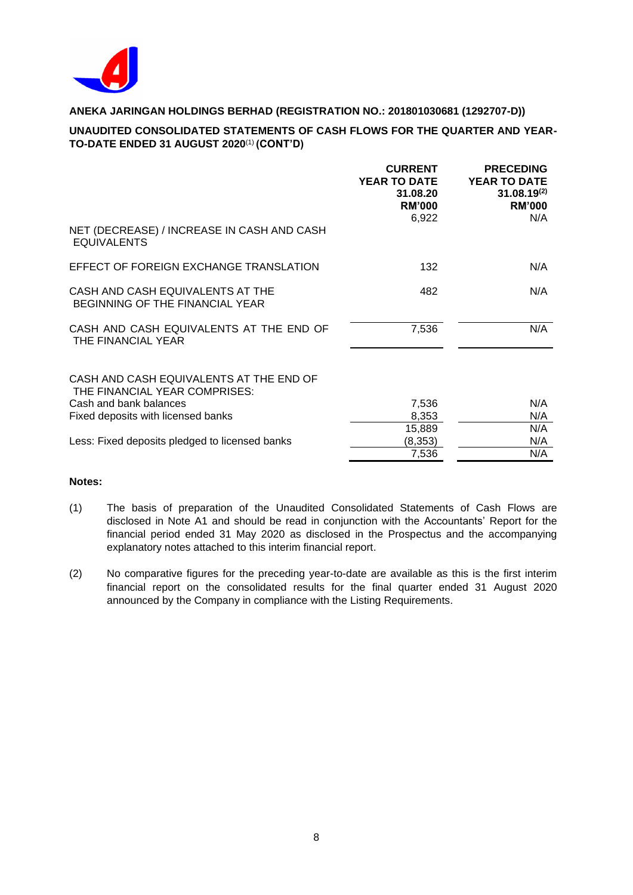

# **UNAUDITED CONSOLIDATED STATEMENTS OF CASH FLOWS FOR THE QUARTER AND YEAR-TO-DATE ENDED 31 AUGUST 2020**(1) **(CONT'D)**

|                                                                            | <b>CURRENT</b><br><b>YEAR TO DATE</b><br>31.08.20<br><b>RM'000</b><br>6,922 | <b>PRECEDING</b><br><b>YEAR TO DATE</b><br>$31.08.19^{(2)}$<br><b>RM'000</b><br>N/A |
|----------------------------------------------------------------------------|-----------------------------------------------------------------------------|-------------------------------------------------------------------------------------|
| NET (DECREASE) / INCREASE IN CASH AND CASH<br><b>EQUIVALENTS</b>           |                                                                             |                                                                                     |
| EFFECT OF FOREIGN EXCHANGE TRANSLATION                                     | 132                                                                         | N/A                                                                                 |
| CASH AND CASH EQUIVALENTS AT THE<br><b>BEGINNING OF THE FINANCIAL YEAR</b> | 482                                                                         | N/A                                                                                 |
| CASH AND CASH EQUIVALENTS AT THE END OF<br>THE FINANCIAL YEAR              | 7,536                                                                       | N/A                                                                                 |
| CASH AND CASH EQUIVALENTS AT THE END OF<br>THE FINANCIAL YEAR COMPRISES:   |                                                                             |                                                                                     |
| Cash and bank balances                                                     | 7,536                                                                       | N/A                                                                                 |
| Fixed deposits with licensed banks                                         | 8,353                                                                       | N/A                                                                                 |
|                                                                            | 15,889                                                                      | N/A                                                                                 |
| Less: Fixed deposits pledged to licensed banks                             | (8, 353)                                                                    | N/A                                                                                 |
|                                                                            | 7,536                                                                       | N/A                                                                                 |
|                                                                            |                                                                             |                                                                                     |

## **Notes:**

- (1) The basis of preparation of the Unaudited Consolidated Statements of Cash Flows are disclosed in Note A1 and should be read in conjunction with the Accountants' Report for the financial period ended 31 May 2020 as disclosed in the Prospectus and the accompanying explanatory notes attached to this interim financial report.
- (2) No comparative figures for the preceding year-to-date are available as this is the first interim financial report on the consolidated results for the final quarter ended 31 August 2020 announced by the Company in compliance with the Listing Requirements.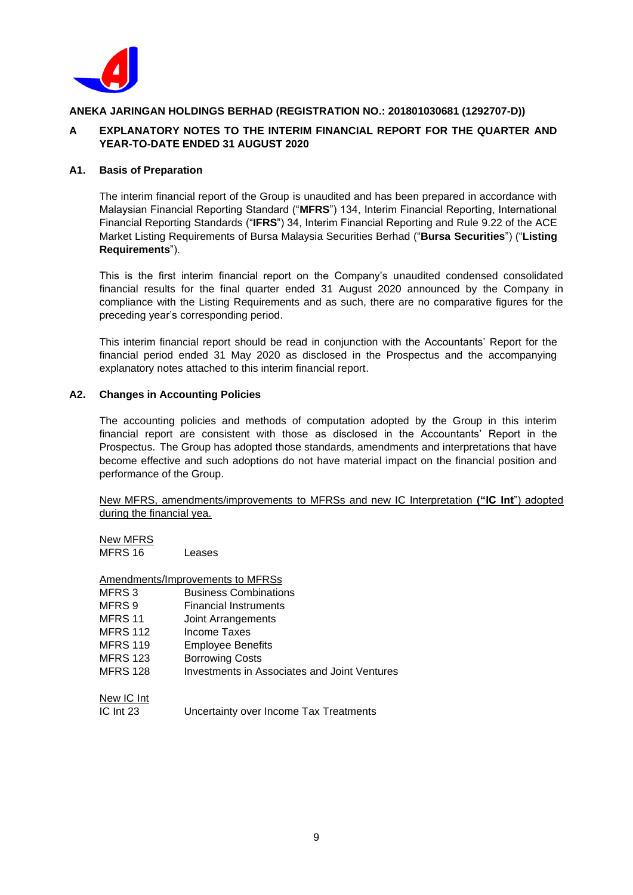

# **A EXPLANATORY NOTES TO THE INTERIM FINANCIAL REPORT FOR THE QUARTER AND YEAR-TO-DATE ENDED 31 AUGUST 2020**

## **A1. Basis of Preparation**

The interim financial report of the Group is unaudited and has been prepared in accordance with Malaysian Financial Reporting Standard ("**MFRS**") 134, Interim Financial Reporting, International Financial Reporting Standards ("**IFRS**") 34, Interim Financial Reporting and Rule 9.22 of the ACE Market Listing Requirements of Bursa Malaysia Securities Berhad ("**Bursa Securities**") ("**Listing Requirements**").

This is the first interim financial report on the Company's unaudited condensed consolidated financial results for the final quarter ended 31 August 2020 announced by the Company in compliance with the Listing Requirements and as such, there are no comparative figures for the preceding year's corresponding period.

This interim financial report should be read in conjunction with the Accountants' Report for the financial period ended 31 May 2020 as disclosed in the Prospectus and the accompanying explanatory notes attached to this interim financial report.

## **A2. Changes in Accounting Policies**

The accounting policies and methods of computation adopted by the Group in this interim financial report are consistent with those as disclosed in the Accountants' Report in the Prospectus. The Group has adopted those standards, amendments and interpretations that have become effective and such adoptions do not have material impact on the financial position and performance of the Group.

New MFRS, amendments/improvements to MFRSs and new IC Interpretation **("IC Int**") adopted during the financial yea.

| New MFRS |        |
|----------|--------|
| MFRS 16  | Leases |

|                   | Amendments/Improvements to MFRSs                    |
|-------------------|-----------------------------------------------------|
| MFRS <sub>3</sub> | <b>Business Combinations</b>                        |
| MFRS 9            | Financial Instruments                               |
| MFRS 11           | Joint Arrangements                                  |
| <b>MFRS 112</b>   | Income Taxes                                        |
| <b>MFRS 119</b>   | Employee Benefits                                   |
| <b>MFRS 123</b>   | <b>Borrowing Costs</b>                              |
| <b>MFRS 128</b>   | <b>Investments in Associates and Joint Ventures</b> |
| New IC Int        |                                                     |
| $IC$ Int $23$     | Uncertainty over Income Tax Treatments              |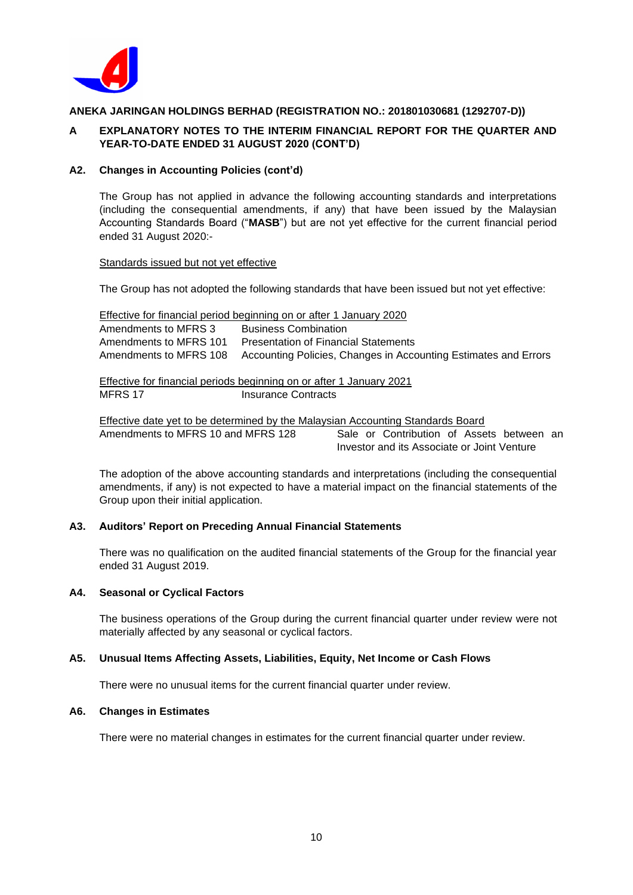

## **A EXPLANATORY NOTES TO THE INTERIM FINANCIAL REPORT FOR THE QUARTER AND YEAR-TO-DATE ENDED 31 AUGUST 2020 (CONT'D)**

#### **A2. Changes in Accounting Policies (cont'd)**

The Group has not applied in advance the following accounting standards and interpretations (including the consequential amendments, if any) that have been issued by the Malaysian Accounting Standards Board ("**MASB**") but are not yet effective for the current financial period ended 31 August 2020:-

#### Standards issued but not yet effective

The Group has not adopted the following standards that have been issued but not yet effective:

|                        | Effective for financial period beginning on or after 1 January 2020 |
|------------------------|---------------------------------------------------------------------|
| Amendments to MFRS 3   | <b>Business Combination</b>                                         |
| Amendments to MFRS 101 | <b>Presentation of Financial Statements</b>                         |
| Amendments to MFRS 108 | Accounting Policies, Changes in Accounting Estimates and Errors     |
|                        |                                                                     |

Effective for financial periods beginning on or after 1 January 2021 MFRS 17 Insurance Contracts

Effective date yet to be determined by the Malaysian Accounting Standards Board Amendments to MFRS 10 and MFRS 128 Sale or Contribution of Assets between an Investor and its Associate or Joint Venture

The adoption of the above accounting standards and interpretations (including the consequential amendments, if any) is not expected to have a material impact on the financial statements of the Group upon their initial application.

## **A3. Auditors' Report on Preceding Annual Financial Statements**

There was no qualification on the audited financial statements of the Group for the financial year ended 31 August 2019.

#### **A4. Seasonal or Cyclical Factors**

The business operations of the Group during the current financial quarter under review were not materially affected by any seasonal or cyclical factors.

#### **A5. Unusual Items Affecting Assets, Liabilities, Equity, Net Income or Cash Flows**

There were no unusual items for the current financial quarter under review.

#### **A6. Changes in Estimates**

There were no material changes in estimates for the current financial quarter under review.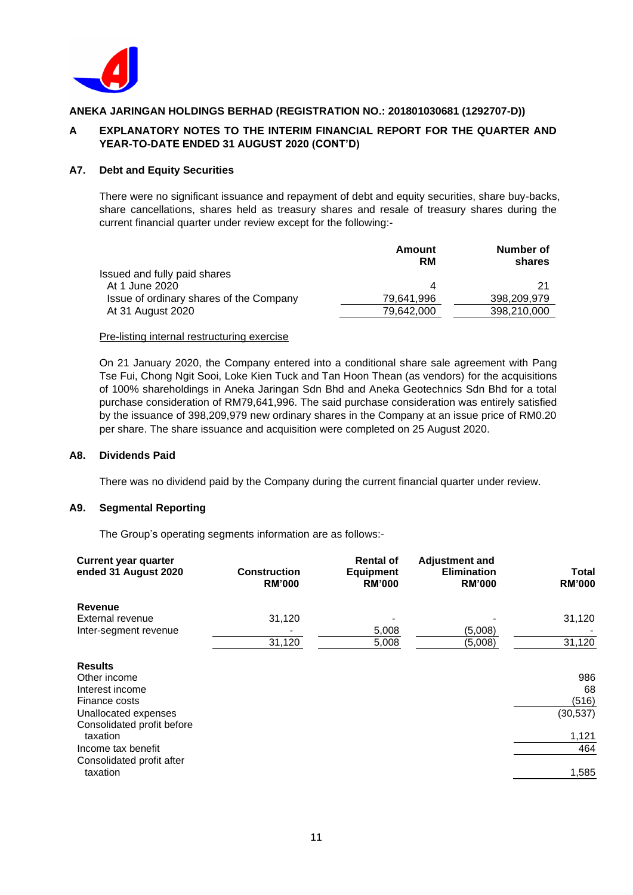

# **A EXPLANATORY NOTES TO THE INTERIM FINANCIAL REPORT FOR THE QUARTER AND YEAR-TO-DATE ENDED 31 AUGUST 2020 (CONT'D)**

#### **A7. Debt and Equity Securities**

There were no significant issuance and repayment of debt and equity securities, share buy-backs, share cancellations, shares held as treasury shares and resale of treasury shares during the current financial quarter under review except for the following:-

|                                         | Amount<br>RM | Number of<br>shares |
|-----------------------------------------|--------------|---------------------|
| Issued and fully paid shares            |              |                     |
| At 1 June 2020                          | 4            | 21                  |
| Issue of ordinary shares of the Company | 79.641.996   | 398,209,979         |
| At 31 August 2020                       | 79.642.000   | 398,210,000         |

#### Pre-listing internal restructuring exercise

On 21 January 2020, the Company entered into a conditional share sale agreement with Pang Tse Fui, Chong Ngit Sooi, Loke Kien Tuck and Tan Hoon Thean (as vendors) for the acquisitions of 100% shareholdings in Aneka Jaringan Sdn Bhd and Aneka Geotechnics Sdn Bhd for a total purchase consideration of RM79,641,996. The said purchase consideration was entirely satisfied by the issuance of 398,209,979 new ordinary shares in the Company at an issue price of RM0.20 per share. The share issuance and acquisition were completed on 25 August 2020.

#### **A8. Dividends Paid**

There was no dividend paid by the Company during the current financial quarter under review.

## **A9. Segmental Reporting**

The Group's operating segments information are as follows:-

| <b>Current year quarter</b><br>ended 31 August 2020 | <b>Construction</b><br><b>RM'000</b> | <b>Rental of</b><br><b>Equipment</b><br><b>RM'000</b> | <b>Adjustment and</b><br><b>Elimination</b><br><b>RM'000</b> | <b>Total</b><br><b>RM'000</b> |
|-----------------------------------------------------|--------------------------------------|-------------------------------------------------------|--------------------------------------------------------------|-------------------------------|
| Revenue                                             |                                      |                                                       |                                                              |                               |
| External revenue                                    | 31,120                               |                                                       |                                                              | 31,120                        |
| Inter-segment revenue                               |                                      | 5,008                                                 | (5,008)                                                      |                               |
|                                                     | 31,120                               | 5,008                                                 | (5,008)                                                      | 31,120                        |
| <b>Results</b>                                      |                                      |                                                       |                                                              |                               |
| Other income                                        |                                      |                                                       |                                                              | 986                           |
| Interest income                                     |                                      |                                                       |                                                              | 68                            |
| Finance costs                                       |                                      |                                                       |                                                              | (516)                         |
| Unallocated expenses                                |                                      |                                                       |                                                              | (30, 537)                     |
| Consolidated profit before<br>taxation              |                                      |                                                       |                                                              | 1,121                         |
| Income tax benefit                                  |                                      |                                                       |                                                              | 464                           |
| Consolidated profit after                           |                                      |                                                       |                                                              |                               |
| taxation                                            |                                      |                                                       |                                                              | 1,585                         |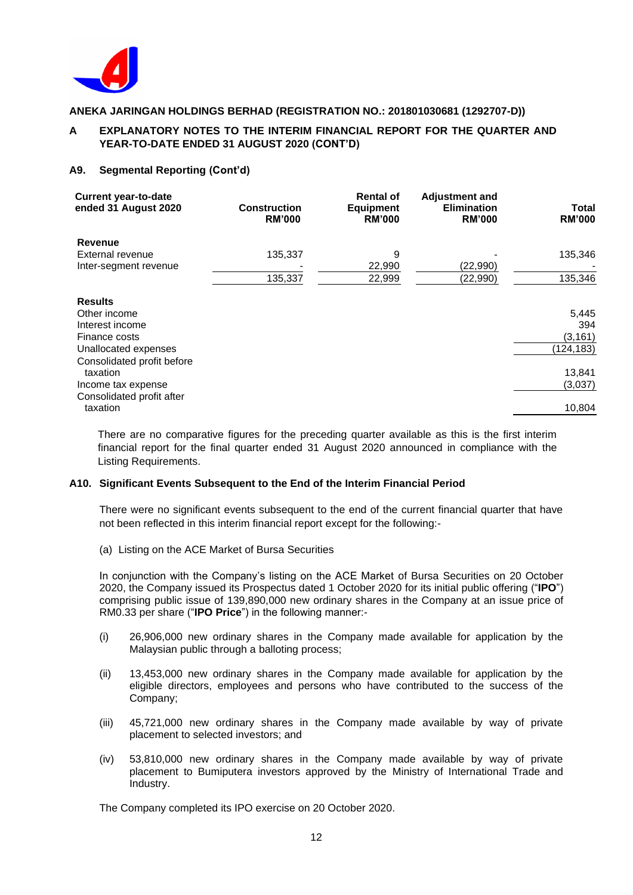

# **A EXPLANATORY NOTES TO THE INTERIM FINANCIAL REPORT FOR THE QUARTER AND YEAR-TO-DATE ENDED 31 AUGUST 2020 (CONT'D)**

## **A9. Segmental Reporting (Cont'd)**

| <b>Current year-to-date</b><br>ended 31 August 2020 | <b>Construction</b><br><b>RM'000</b> | <b>Rental of</b><br><b>Equipment</b><br><b>RM'000</b> | <b>Adjustment and</b><br><b>Elimination</b><br><b>RM'000</b> | Total<br><b>RM'000</b> |
|-----------------------------------------------------|--------------------------------------|-------------------------------------------------------|--------------------------------------------------------------|------------------------|
| Revenue                                             |                                      |                                                       |                                                              |                        |
| External revenue                                    | 135,337                              | 9                                                     |                                                              | 135,346                |
| Inter-segment revenue                               |                                      | 22,990                                                | (22,990)                                                     |                        |
|                                                     | 135,337                              | 22,999                                                | (22,990)                                                     | 135,346                |
| <b>Results</b>                                      |                                      |                                                       |                                                              |                        |
| Other income                                        |                                      |                                                       |                                                              | 5,445                  |
| Interest income                                     |                                      |                                                       |                                                              | 394                    |
| Finance costs                                       |                                      |                                                       |                                                              | (3, 161)               |
| Unallocated expenses                                |                                      |                                                       |                                                              | (124, 183)             |
| Consolidated profit before                          |                                      |                                                       |                                                              |                        |
| taxation                                            |                                      |                                                       |                                                              | 13,841                 |
| Income tax expense                                  |                                      |                                                       |                                                              | (3,037)                |
| Consolidated profit after                           |                                      |                                                       |                                                              |                        |
| taxation                                            |                                      |                                                       |                                                              | 10,804                 |

There are no comparative figures for the preceding quarter available as this is the first interim financial report for the final quarter ended 31 August 2020 announced in compliance with the Listing Requirements.

#### **A10. Significant Events Subsequent to the End of the Interim Financial Period**

There were no significant events subsequent to the end of the current financial quarter that have not been reflected in this interim financial report except for the following:-

(a) Listing on the ACE Market of Bursa Securities

In conjunction with the Company's listing on the ACE Market of Bursa Securities on 20 October 2020, the Company issued its Prospectus dated 1 October 2020 for its initial public offering ("**IPO**") comprising public issue of 139,890,000 new ordinary shares in the Company at an issue price of RM0.33 per share ("**IPO Price**") in the following manner:-

- (i) 26,906,000 new ordinary shares in the Company made available for application by the Malaysian public through a balloting process:
- (ii) 13,453,000 new ordinary shares in the Company made available for application by the eligible directors, employees and persons who have contributed to the success of the Company;
- (iii) 45,721,000 new ordinary shares in the Company made available by way of private placement to selected investors; and
- (iv) 53,810,000 new ordinary shares in the Company made available by way of private placement to Bumiputera investors approved by the Ministry of International Trade and Industry.

The Company completed its IPO exercise on 20 October 2020.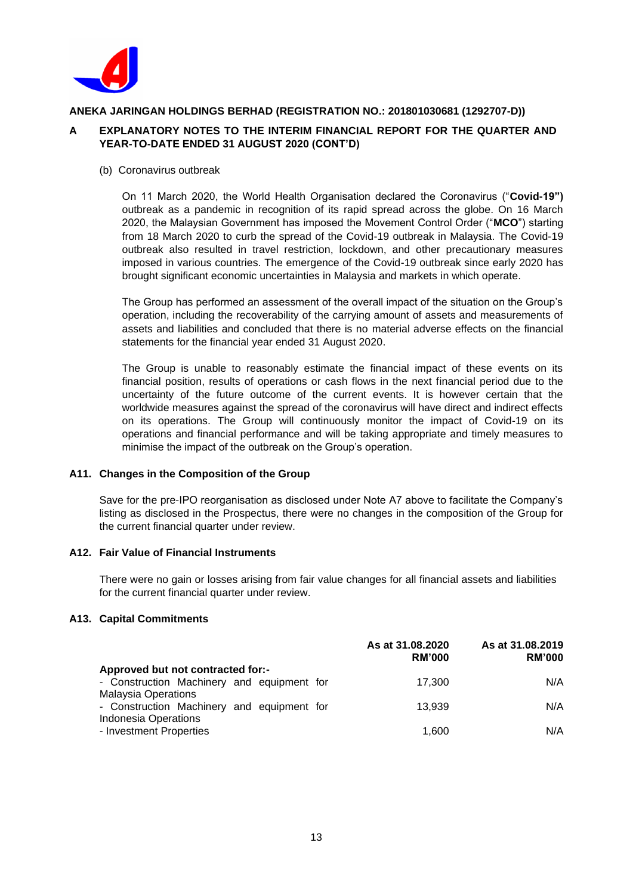

# **A EXPLANATORY NOTES TO THE INTERIM FINANCIAL REPORT FOR THE QUARTER AND YEAR-TO-DATE ENDED 31 AUGUST 2020 (CONT'D)**

## (b) Coronavirus outbreak

On 11 March 2020, the World Health Organisation declared the Coronavirus ("**Covid-19")** outbreak as a pandemic in recognition of its rapid spread across the globe. On 16 March 2020, the Malaysian Government has imposed the Movement Control Order ("**MCO**") starting from 18 March 2020 to curb the spread of the Covid-19 outbreak in Malaysia. The Covid-19 outbreak also resulted in travel restriction, lockdown, and other precautionary measures imposed in various countries. The emergence of the Covid-19 outbreak since early 2020 has brought significant economic uncertainties in Malaysia and markets in which operate.

The Group has performed an assessment of the overall impact of the situation on the Group's operation, including the recoverability of the carrying amount of assets and measurements of assets and liabilities and concluded that there is no material adverse effects on the financial statements for the financial year ended 31 August 2020.

The Group is unable to reasonably estimate the financial impact of these events on its financial position, results of operations or cash flows in the next financial period due to the uncertainty of the future outcome of the current events. It is however certain that the worldwide measures against the spread of the coronavirus will have direct and indirect effects on its operations. The Group will continuously monitor the impact of Covid-19 on its operations and financial performance and will be taking appropriate and timely measures to minimise the impact of the outbreak on the Group's operation.

## **A11. Changes in the Composition of the Group**

Save for the pre-IPO reorganisation as disclosed under Note A7 above to facilitate the Company's listing as disclosed in the Prospectus, there were no changes in the composition of the Group for the current financial quarter under review.

## **A12. Fair Value of Financial Instruments**

There were no gain or losses arising from fair value changes for all financial assets and liabilities for the current financial quarter under review.

## **A13. Capital Commitments**

|                                                                                                               | As at 31.08.2020<br><b>RM'000</b> | As at 31,08,2019<br><b>RM'000</b> |
|---------------------------------------------------------------------------------------------------------------|-----------------------------------|-----------------------------------|
| Approved but not contracted for:-<br>- Construction Machinery and equipment for<br><b>Malaysia Operations</b> | 17.300                            | N/A                               |
| - Construction Machinery and equipment for<br><b>Indonesia Operations</b>                                     | 13.939                            | N/A                               |
| - Investment Properties                                                                                       | 1.600                             | N/A                               |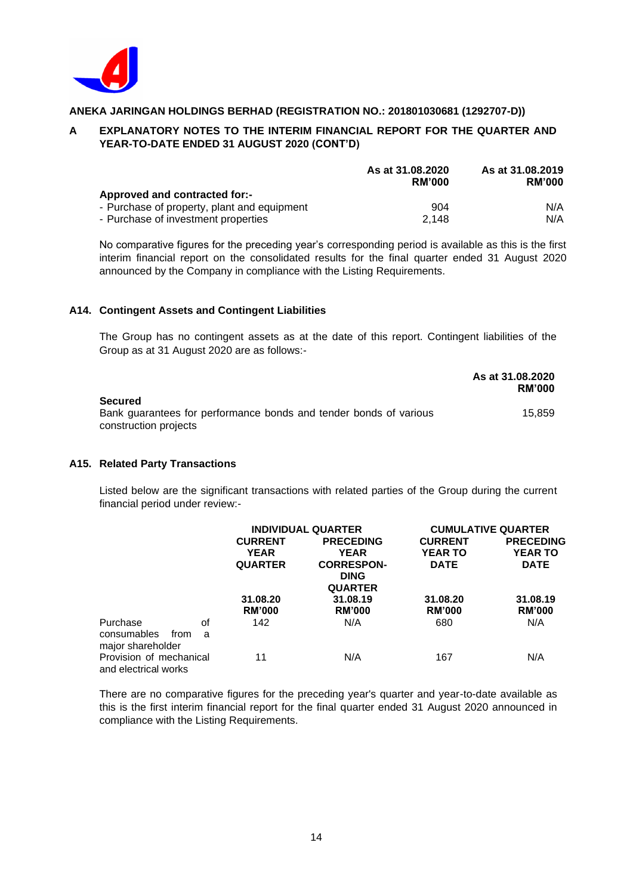

# **A EXPLANATORY NOTES TO THE INTERIM FINANCIAL REPORT FOR THE QUARTER AND YEAR-TO-DATE ENDED 31 AUGUST 2020 (CONT'D)**

|                                             | As at 31.08.2020<br><b>RM'000</b> | As at 31,08,2019<br><b>RM'000</b> |
|---------------------------------------------|-----------------------------------|-----------------------------------|
| Approved and contracted for:-               |                                   |                                   |
| - Purchase of property, plant and equipment | 904                               | N/A                               |
| - Purchase of investment properties         | 2.148                             | N/A                               |

No comparative figures for the preceding year's corresponding period is available as this is the first interim financial report on the consolidated results for the final quarter ended 31 August 2020 announced by the Company in compliance with the Listing Requirements.

## **A14. Contingent Assets and Contingent Liabilities**

The Group has no contingent assets as at the date of this report. Contingent liabilities of the Group as at 31 August 2020 are as follows:-

|                                                                   | As at 31.08.2020<br><b>RM'000</b> |
|-------------------------------------------------------------------|-----------------------------------|
| <b>Secured</b>                                                    |                                   |
| Bank guarantees for performance bonds and tender bonds of various | 15.859                            |
| construction projects                                             |                                   |

## **A15. Related Party Transactions**

Listed below are the significant transactions with related parties of the Group during the current financial period under review:-

|                          | <b>INDIVIDUAL QUARTER</b> |                   |                | <b>CUMULATIVE QUARTER</b> |
|--------------------------|---------------------------|-------------------|----------------|---------------------------|
|                          | <b>CURRENT</b>            | <b>PRECEDING</b>  | <b>CURRENT</b> | <b>PRECEDING</b>          |
|                          | <b>YEAR</b>               | <b>YEAR</b>       | <b>YEAR TO</b> | <b>YEAR TO</b>            |
|                          | <b>QUARTER</b>            | <b>CORRESPON-</b> | <b>DATE</b>    | <b>DATE</b>               |
|                          |                           | <b>DING</b>       |                |                           |
|                          |                           | <b>QUARTER</b>    |                |                           |
|                          | 31.08.20                  | 31.08.19          | 31.08.20       | 31.08.19                  |
|                          | <b>RM'000</b>             | <b>RM'000</b>     | <b>RM'000</b>  | <b>RM'000</b>             |
| Purchase<br>οf           | 142                       | N/A               | 680            | N/A                       |
| consumables<br>from<br>a |                           |                   |                |                           |
| major shareholder        |                           |                   |                |                           |
| Provision of mechanical  | 11                        | N/A               | 167            | N/A                       |
| and electrical works     |                           |                   |                |                           |

There are no comparative figures for the preceding year's quarter and year-to-date available as this is the first interim financial report for the final quarter ended 31 August 2020 announced in compliance with the Listing Requirements.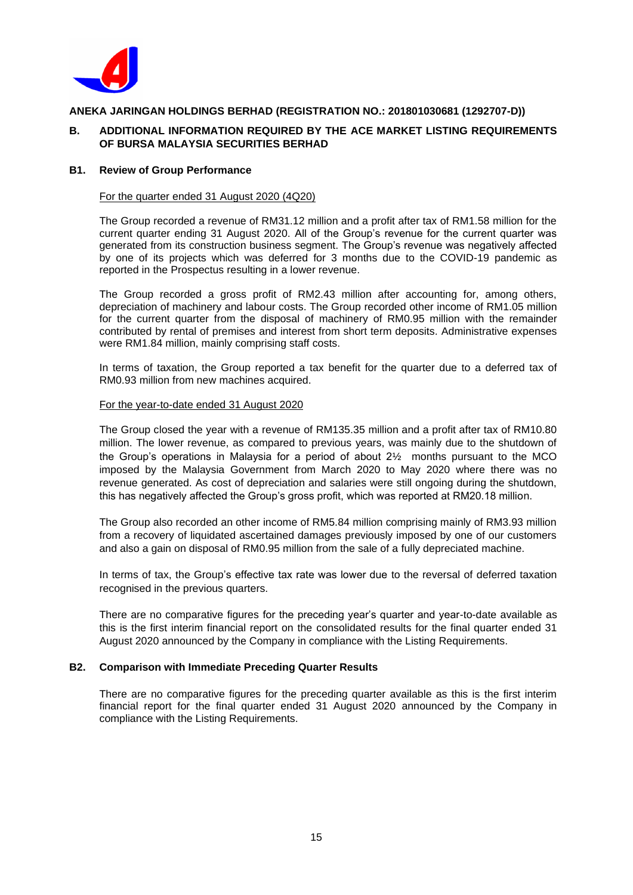

## **B. ADDITIONAL INFORMATION REQUIRED BY THE ACE MARKET LISTING REQUIREMENTS OF BURSA MALAYSIA SECURITIES BERHAD**

#### **B1. Review of Group Performance**

#### For the quarter ended 31 August 2020 (4Q20)

The Group recorded a revenue of RM31.12 million and a profit after tax of RM1.58 million for the current quarter ending 31 August 2020. All of the Group's revenue for the current quarter was generated from its construction business segment. The Group's revenue was negatively affected by one of its projects which was deferred for 3 months due to the COVID-19 pandemic as reported in the Prospectus resulting in a lower revenue.

The Group recorded a gross profit of RM2.43 million after accounting for, among others, depreciation of machinery and labour costs. The Group recorded other income of RM1.05 million for the current quarter from the disposal of machinery of RM0.95 million with the remainder contributed by rental of premises and interest from short term deposits. Administrative expenses were RM1.84 million, mainly comprising staff costs.

In terms of taxation, the Group reported a tax benefit for the quarter due to a deferred tax of RM0.93 million from new machines acquired.

#### For the year-to-date ended 31 August 2020

The Group closed the year with a revenue of RM135.35 million and a profit after tax of RM10.80 million. The lower revenue, as compared to previous years, was mainly due to the shutdown of the Group's operations in Malaysia for a period of about 2½ months pursuant to the MCO imposed by the Malaysia Government from March 2020 to May 2020 where there was no revenue generated. As cost of depreciation and salaries were still ongoing during the shutdown, this has negatively affected the Group's gross profit, which was reported at RM20.18 million.

The Group also recorded an other income of RM5.84 million comprising mainly of RM3.93 million from a recovery of liquidated ascertained damages previously imposed by one of our customers and also a gain on disposal of RM0.95 million from the sale of a fully depreciated machine.

In terms of tax, the Group's effective tax rate was lower due to the reversal of deferred taxation recognised in the previous quarters.

There are no comparative figures for the preceding year's quarter and year-to-date available as this is the first interim financial report on the consolidated results for the final quarter ended 31 August 2020 announced by the Company in compliance with the Listing Requirements.

#### **B2. Comparison with Immediate Preceding Quarter Results**

There are no comparative figures for the preceding quarter available as this is the first interim financial report for the final quarter ended 31 August 2020 announced by the Company in compliance with the Listing Requirements.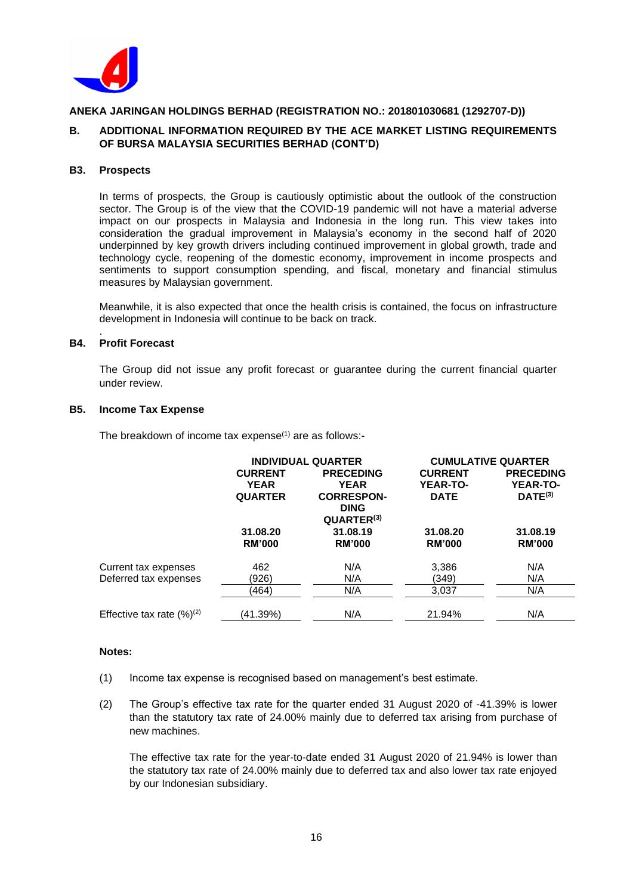

## **B. ADDITIONAL INFORMATION REQUIRED BY THE ACE MARKET LISTING REQUIREMENTS OF BURSA MALAYSIA SECURITIES BERHAD (CONT'D)**

#### **B3. Prospects**

In terms of prospects, the Group is cautiously optimistic about the outlook of the construction sector. The Group is of the view that the COVID-19 pandemic will not have a material adverse impact on our prospects in Malaysia and Indonesia in the long run. This view takes into consideration the gradual improvement in Malaysia's economy in the second half of 2020 underpinned by key growth drivers including continued improvement in global growth, trade and technology cycle, reopening of the domestic economy, improvement in income prospects and sentiments to support consumption spending, and fiscal, monetary and financial stimulus measures by Malaysian government.

Meanwhile, it is also expected that once the health crisis is contained, the focus on infrastructure development in Indonesia will continue to be back on track.

#### . **B4. Profit Forecast**

The Group did not issue any profit forecast or guarantee during the current financial quarter under review.

#### **B5. Income Tax Expense**

The breakdown of income tax expense $(1)$  are as follows:-

|                                 | <b>INDIVIDUAL QUARTER</b> |                        |                 | <b>CUMULATIVE QUARTER</b> |
|---------------------------------|---------------------------|------------------------|-----------------|---------------------------|
|                                 | <b>CURRENT</b>            | <b>PRECEDING</b>       | <b>CURRENT</b>  | <b>PRECEDING</b>          |
|                                 | <b>YEAR</b>               | <b>YEAR</b>            | <b>YEAR-TO-</b> | <b>YEAR-TO-</b>           |
|                                 | <b>QUARTER</b>            | <b>CORRESPON-</b>      | <b>DATE</b>     | $DATE^{(3)}$              |
|                                 |                           | <b>DING</b>            |                 |                           |
|                                 |                           | QUARTER <sup>(3)</sup> |                 |                           |
|                                 | 31.08.20                  | 31.08.19               | 31.08.20        | 31.08.19                  |
|                                 | <b>RM'000</b>             | <b>RM'000</b>          | <b>RM'000</b>   | <b>RM'000</b>             |
| Current tax expenses            | 462                       | N/A                    | 3,386           | N/A                       |
| Deferred tax expenses           | (926)                     | N/A                    | (349)           | N/A                       |
|                                 | (464)                     | N/A                    | 3,037           | N/A                       |
| Effective tax rate $(\%)^{(2)}$ | (41.39%)                  | N/A                    | 21.94%          | N/A                       |

#### **Notes:**

- (1) Income tax expense is recognised based on management's best estimate.
- (2) The Group's effective tax rate for the quarter ended 31 August 2020 of -41.39% is lower than the statutory tax rate of 24.00% mainly due to deferred tax arising from purchase of new machines.

The effective tax rate for the year-to-date ended 31 August 2020 of 21.94% is lower than the statutory tax rate of 24.00% mainly due to deferred tax and also lower tax rate enjoyed by our Indonesian subsidiary.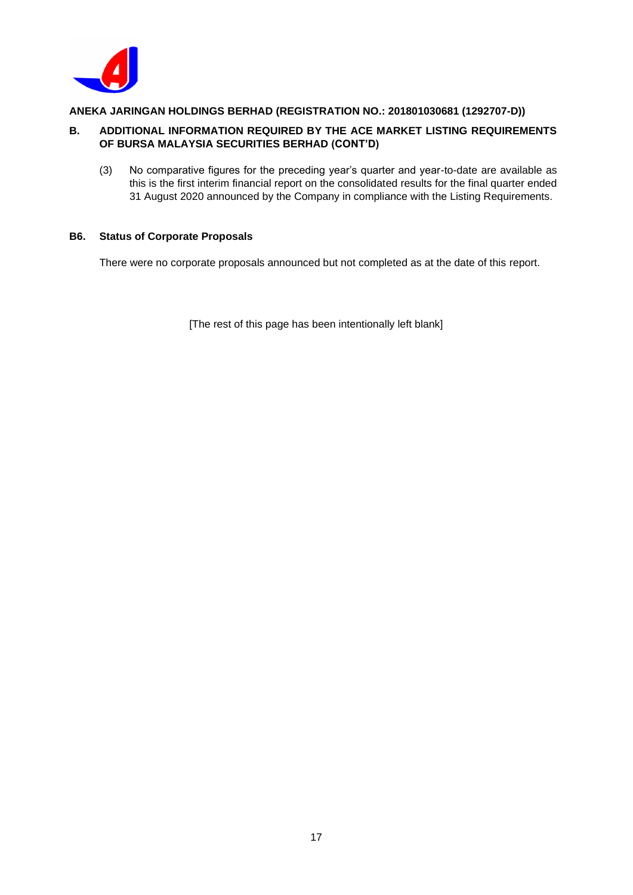

# **B. ADDITIONAL INFORMATION REQUIRED BY THE ACE MARKET LISTING REQUIREMENTS OF BURSA MALAYSIA SECURITIES BERHAD (CONT'D)**

(3) No comparative figures for the preceding year's quarter and year-to-date are available as this is the first interim financial report on the consolidated results for the final quarter ended 31 August 2020 announced by the Company in compliance with the Listing Requirements.

# **B6. Status of Corporate Proposals**

There were no corporate proposals announced but not completed as at the date of this report.

[The rest of this page has been intentionally left blank]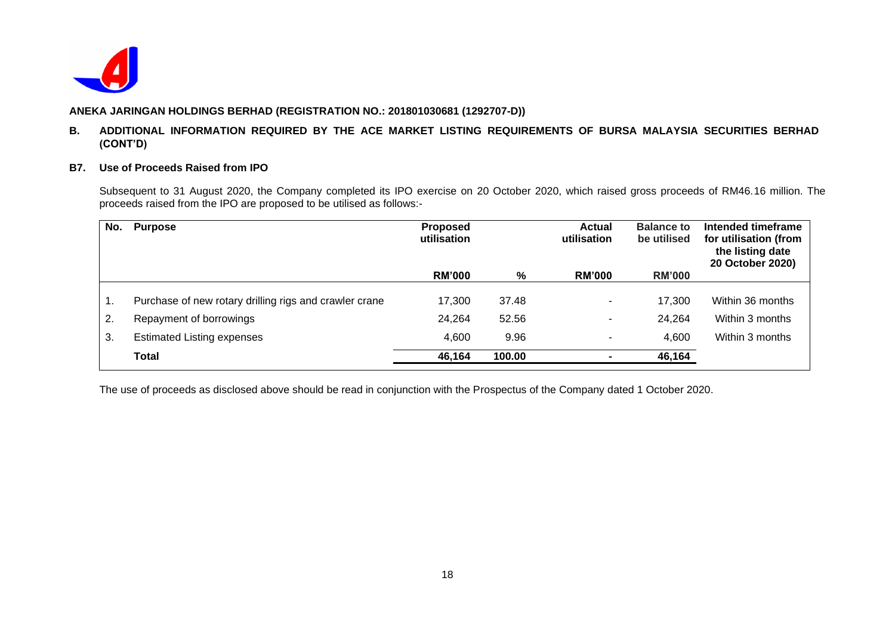

## **B. ADDITIONAL INFORMATION REQUIRED BY THE ACE MARKET LISTING REQUIREMENTS OF BURSA MALAYSIA SECURITIES BERHAD (CONT'D)**

#### **B7. Use of Proceeds Raised from IPO**

Subsequent to 31 August 2020, the Company completed its IPO exercise on 20 October 2020, which raised gross proceeds of RM46.16 million. The proceeds raised from the IPO are proposed to be utilised as follows:-

| No.            | <b>Purpose</b>                                         | <b>Proposed</b><br>utilisation |        | <b>Actual</b><br>utilisation | <b>Balance to</b><br>be utilised | Intended timeframe<br>for utilisation (from<br>the listing date<br>20 October 2020) |
|----------------|--------------------------------------------------------|--------------------------------|--------|------------------------------|----------------------------------|-------------------------------------------------------------------------------------|
|                |                                                        | <b>RM'000</b>                  | %      | <b>RM'000</b>                | <b>RM'000</b>                    |                                                                                     |
| $\mathbf{1}$ . | Purchase of new rotary drilling rigs and crawler crane | 17,300                         | 37.48  |                              | 17,300                           | Within 36 months                                                                    |
| 2.             | Repayment of borrowings                                | 24,264                         | 52.56  |                              | 24,264                           | Within 3 months                                                                     |
| 3.             | <b>Estimated Listing expenses</b>                      | 4,600                          | 9.96   |                              | 4,600                            | Within 3 months                                                                     |
|                | <b>Total</b>                                           | 46,164                         | 100.00 |                              | 46,164                           |                                                                                     |

The use of proceeds as disclosed above should be read in conjunction with the Prospectus of the Company dated 1 October 2020.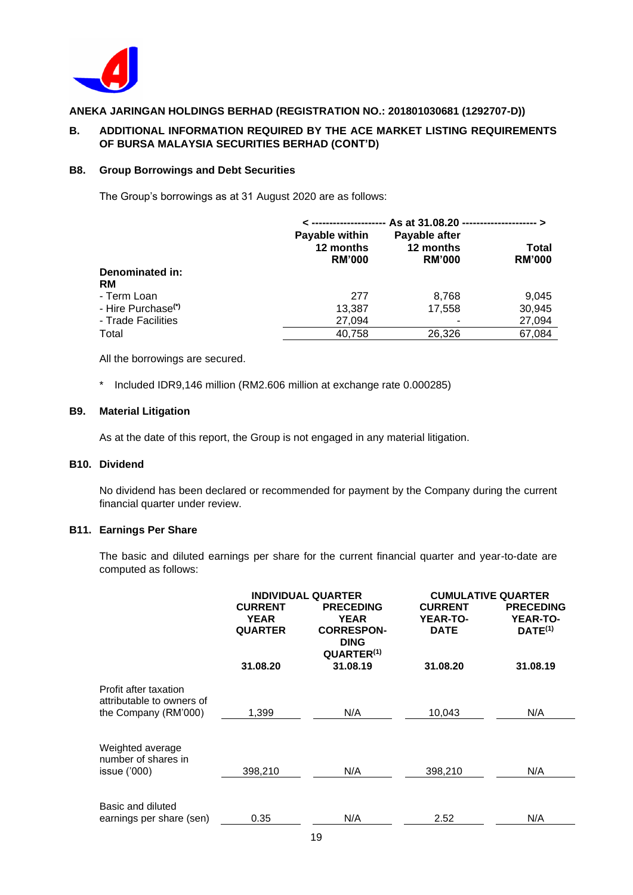

## **B. ADDITIONAL INFORMATION REQUIRED BY THE ACE MARKET LISTING REQUIREMENTS OF BURSA MALAYSIA SECURITIES BERHAD (CONT'D)**

## **B8. Group Borrowings and Debt Securities**

The Group's borrowings as at 31 August 2020 are as follows:

|                                | Payable within<br>12 months<br><b>RM'000</b> | Payable after<br>12 months<br><b>RM'000</b> | Total<br><b>RM'000</b> |  |  |  |
|--------------------------------|----------------------------------------------|---------------------------------------------|------------------------|--|--|--|
| Denominated in:                |                                              |                                             |                        |  |  |  |
| RM                             |                                              |                                             |                        |  |  |  |
| - Term Loan                    | 277                                          | 8,768                                       | 9,045                  |  |  |  |
| - Hire Purchase <sup>(*)</sup> | 13,387                                       | 17,558                                      | 30,945                 |  |  |  |
| - Trade Facilities             | 27,094                                       |                                             | 27,094                 |  |  |  |
| Total                          | 40.758                                       | 26.326                                      | 67,084                 |  |  |  |

All the borrowings are secured.

\* Included IDR9,146 million (RM2.606 million at exchange rate 0.000285)

#### **B9. Material Litigation**

As at the date of this report, the Group is not engaged in any material litigation.

# **B10. Dividend**

No dividend has been declared or recommended for payment by the Company during the current financial quarter under review.

## **B11. Earnings Per Share**

The basic and diluted earnings per share for the current financial quarter and year-to-date are computed as follows:

|                                                                            | <b>INDIVIDUAL QUARTER</b><br><b>CURRENT</b><br><b>PRECEDING</b><br><b>YEAR</b><br><b>YEAR</b><br><b>QUARTER</b><br><b>CORRESPON-</b><br><b>DING</b><br>QUARTER <sup>(1)</sup> |          | <b>CUMULATIVE QUARTER</b><br><b>CURRENT</b><br><b>YEAR-TO-</b><br><b>DATE</b> | <b>PRECEDING</b><br><b>YEAR-TO-</b><br>$DATE^{(1)}$ |
|----------------------------------------------------------------------------|-------------------------------------------------------------------------------------------------------------------------------------------------------------------------------|----------|-------------------------------------------------------------------------------|-----------------------------------------------------|
|                                                                            | 31.08.20                                                                                                                                                                      | 31.08.19 | 31.08.20                                                                      | 31.08.19                                            |
| Profit after taxation<br>attributable to owners of<br>the Company (RM'000) | 1,399                                                                                                                                                                         | N/A      | 10,043                                                                        | N/A                                                 |
| Weighted average<br>number of shares in<br>issue ('000)                    | 398,210                                                                                                                                                                       | N/A      | 398,210                                                                       | N/A                                                 |
| Basic and diluted<br>earnings per share (sen)                              | 0.35                                                                                                                                                                          | N/A      | 2.52                                                                          | N/A                                                 |